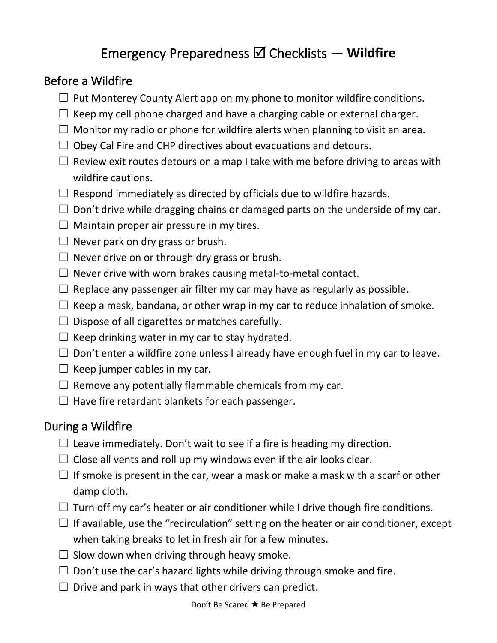## Emergency Preparedness Checklists — **Wildfire**

## Before a Wildfire

- $\Box$  Put Monterey County Alert app on my phone to monitor wildfire conditions.
- $\Box$  Keep my cell phone charged and have a charging cable or external charger.
- $\Box$  Monitor my radio or phone for wildfire alerts when planning to visit an area.
- $\Box$  Obey Cal Fire and CHP directives about evacuations and detours.
- $\Box$  Review exit routes detours on a map I take with me before driving to areas with wildfire cautions.
- $\Box$  Respond immediately as directed by officials due to wildfire hazards.
- $\Box$  Don't drive while dragging chains or damaged parts on the underside of my car.
- $\Box$  Maintain proper air pressure in my tires.
- $\Box$  Never park on dry grass or brush.
- $\Box$  Never drive on or through dry grass or brush.
- $\Box$  Never drive with worn brakes causing metal-to-metal contact.
- $\Box$  Replace any passenger air filter my car may have as regularly as possible.
- $\Box$  Keep a mask, bandana, or other wrap in my car to reduce inhalation of smoke.
- $\Box$  Dispose of all cigarettes or matches carefully.
- $\Box$  Keep drinking water in my car to stay hydrated.
- $\square$  Don't enter a wildfire zone unless I already have enough fuel in my car to leave.
- $\Box$  Keep jumper cables in my car.
- $\Box$  Remove any potentially flammable chemicals from my car.
- $\Box$  Have fire retardant blankets for each passenger.

## During a Wildfire

- $\Box$  Leave immediately. Don't wait to see if a fire is heading my direction.
- $\Box$  Close all vents and roll up my windows even if the air looks clear.
- $\Box$  If smoke is present in the car, wear a mask or make a mask with a scarf or other damp cloth.
- $\Box$  Turn off my car's heater or air conditioner while I drive though fire conditions.
- $\Box$  If available, use the "recirculation" setting on the heater or air conditioner, except when taking breaks to let in fresh air for a few minutes.
- $\square$  Slow down when driving through heavy smoke.
- $\Box$  Don't use the car's hazard lights while driving through smoke and fire.
- $\Box$  Drive and park in ways that other drivers can predict.